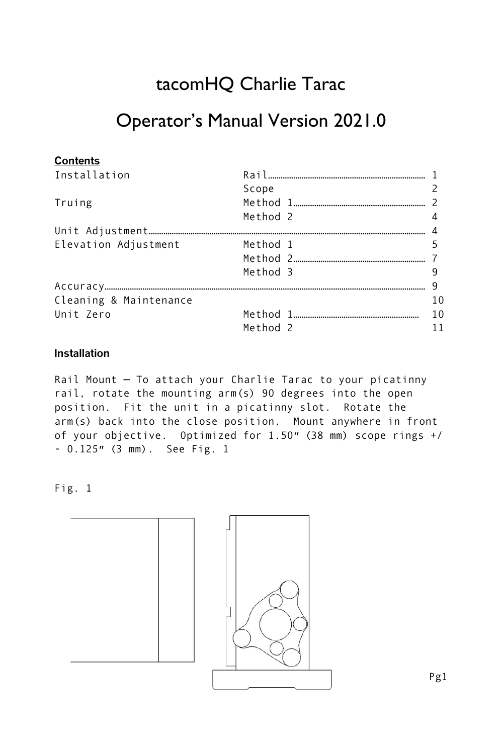# tacomHQ Charlie Tarac

## Operator's Manual Version 2021.0

| <b>Contents</b>        |                     |    |
|------------------------|---------------------|----|
| Installation           |                     |    |
|                        | Scope               |    |
| Truing                 |                     |    |
|                        | Method 2            |    |
|                        |                     |    |
| Elevation Adjustment   | Method 1            |    |
|                        |                     |    |
|                        | Method 3            |    |
|                        |                     | q  |
| Cleaning & Maintenance |                     | 10 |
| Unit Zero              |                     | 10 |
|                        | Method <sub>2</sub> | 11 |

## **Installation**

Rail Mount — To attach your Charlie Tarac to your picatinny rail, rotate the mounting arm(s) 90 degrees into the open position. Fit the unit in a picatinny slot. Rotate the arm(s) back into the close position. Mount anywhere in front of your objective. Optimized for 1.50″ (38 mm) scope rings +/ - 0.125″ (3 mm). See Fig. 1

Fig. 1

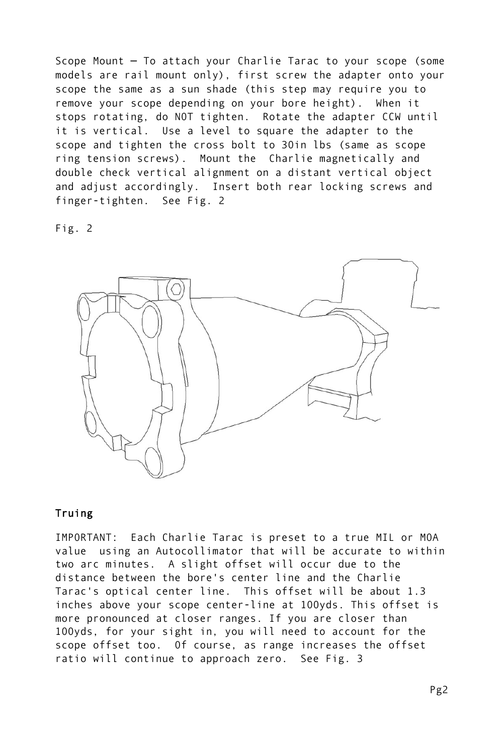Scope Mount — To attach your Charlie Tarac to your scope (some models are rail mount only), first screw the adapter onto your scope the same as a sun shade (this step may require you to remove your scope depending on your bore height). When it stops rotating, do NOT tighten. Rotate the adapter CCW until it is vertical. Use a level to square the adapter to the scope and tighten the cross bolt to 30in lbs (same as scope ring tension screws). Mount the Charlie magnetically and double check vertical alignment on a distant vertical object and adjust accordingly. Insert both rear locking screws and finger-tighten. See Fig. 2

Fig. 2



## Truing

IMPORTANT: Each Charlie Tarac is preset to a true MIL or MOA value using an Autocollimator that will be accurate to within two arc minutes. A slight offset will occur due to the distance between the bore's center line and the Charlie Tarac's optical center line. This offset will be about 1.3 inches above your scope center-line at 100yds. This offset is more pronounced at closer ranges. If you are closer than 100yds, for your sight in, you will need to account for the scope offset too. Of course, as range increases the offset ratio will continue to approach zero. See Fig. 3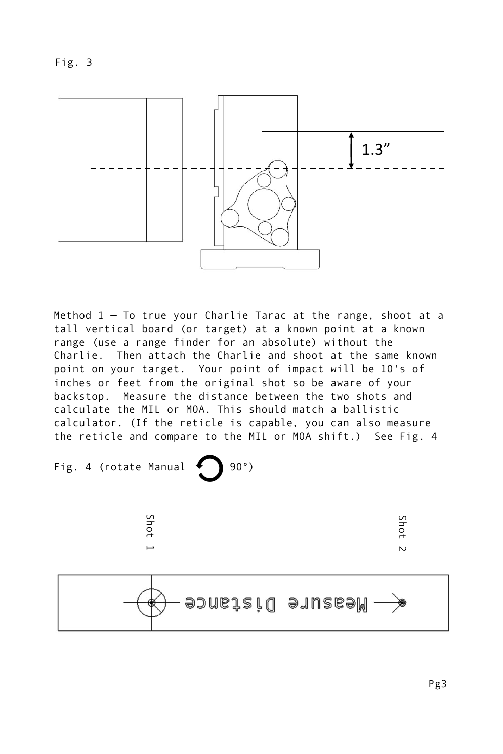



Method 1 — To true your Charlie Tarac at the range, shoot at a tall vertical board (or target) at a known point at a known range (use a range finder for an absolute) without the Charlie. Then attach the Charlie and shoot at the same known point on your target. Your point of impact will be 10's of inches or feet from the original shot so be aware of your backstop. Measure the distance between the two shots and calculate the MIL or MOA. This should match a ballistic calculator. (If the reticle is capable, you can also measure the reticle and compare to the MIL or MOA shift.) See Fig. 4





Shot 2

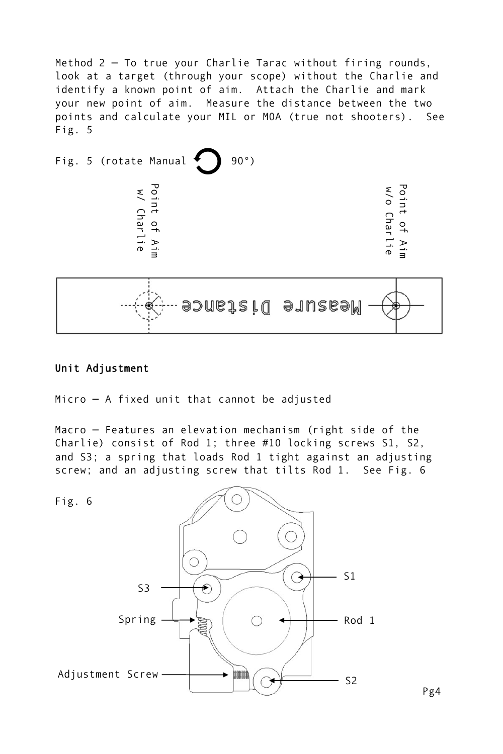Method 2 — To true your Charlie Tarac without firing rounds, look at a target (through your scope) without the Charlie and identify a known point of aim. Attach the Charlie and mark your new point of aim. Measure the distance between the two points and calculate your MIL or MOA (true not shooters). See Fig. 5





Micro — A fixed unit that cannot be adjusted

Macro — Features an elevation mechanism (right side of the Charlie) consist of Rod 1; three #10 locking screws S1, S2, and S3; a spring that loads Rod 1 tight against an adjusting screw; and an adjusting screw that tilts Rod 1. See Fig. 6



Pg4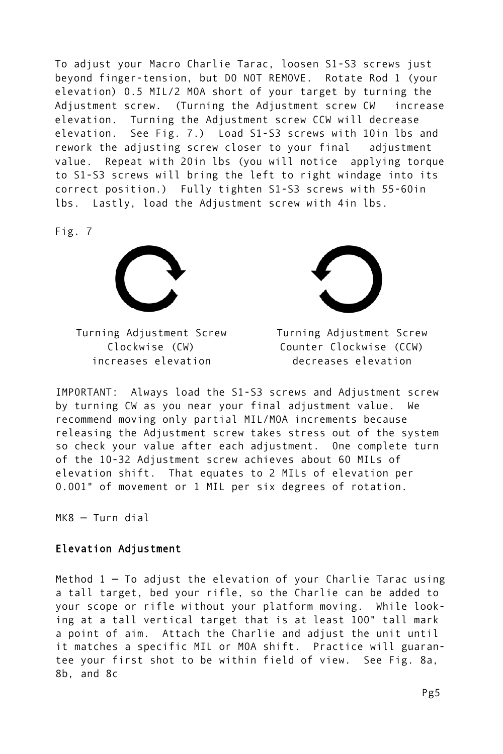To adjust your Macro Charlie Tarac, loosen S1-S3 screws just beyond finger-tension, but DO NOT REMOVE. Rotate Rod 1 (your elevation) 0.5 MIL/2 MOA short of your target by turning the Adjustment screw. (Turning the Adjustment screw CW increase elevation. Turning the Adjustment screw CCW will decrease elevation. See Fig. 7.) Load S1-S3 screws with 10in lbs and rework the adjusting screw closer to your final adjustment value. Repeat with 20in lbs (you will notice applying torque to S1-S3 screws will bring the left to right windage into its correct position.) Fully tighten S1-S3 screws with 55-60in lbs. Lastly, load the Adjustment screw with 4in lbs.

Fig. 7



Turning Adjustment Screw Clockwise (CW) increases elevation



Turning Adjustment Screw Counter Clockwise (CCW) decreases elevation

IMPORTANT: Always load the S1-S3 screws and Adjustment screw by turning CW as you near your final adjustment value. We recommend moving only partial MIL/MOA increments because releasing the Adjustment screw takes stress out of the system so check your value after each adjustment. One complete turn of the 10-32 Adjustment screw achieves about 60 MILs of elevation shift. That equates to 2 MILs of elevation per 0.001" of movement or 1 MIL per six degrees of rotation.

MK8 — Turn dial

### Elevation Adjustment

Method  $1 - To$  adjust the elevation of your Charlie Tarac using a tall target, bed your rifle, so the Charlie can be added to your scope or rifle without your platform moving. While looking at a tall vertical target that is at least 100" tall mark a point of aim. Attach the Charlie and adjust the unit until it matches a specific MIL or MOA shift. Practice will guarantee your first shot to be within field of view. See Fig. 8a, 8b, and 8c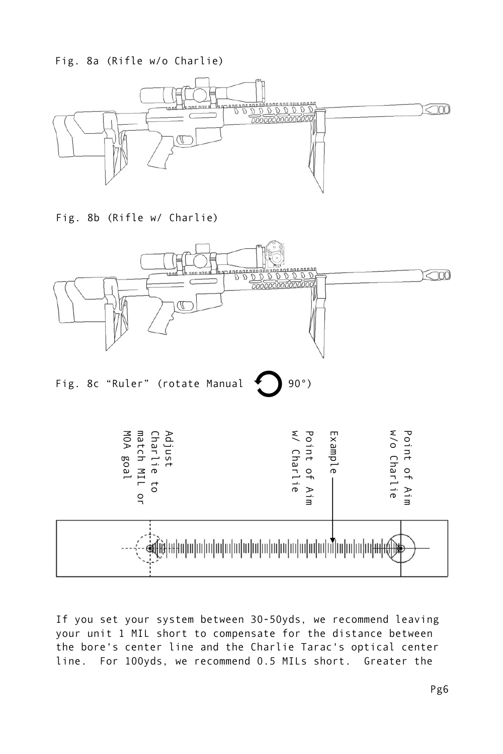Fig. 8a (Rifle w/o Charlie)



Fig. 8b (Rifle w/ Charlie)



If you set your system between 30-50yds, we recommend leaving your unit 1 MIL short to compensate for the distance between the bore's center line and the Charlie Tarac's optical center line. For 100yds, we recommend 0.5 MILs short. Greater the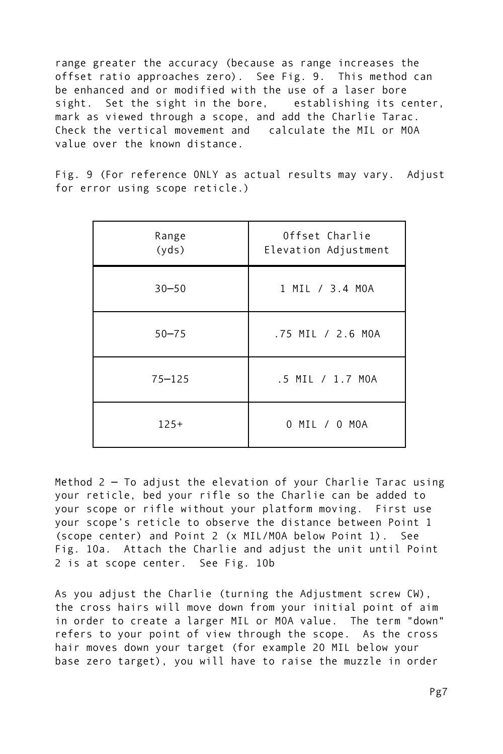range greater the accuracy (because as range increases the offset ratio approaches zero). See Fig. 9. This method can be enhanced and or modified with the use of a laser bore sight. Set the sight in the bore, establishing its center, mark as viewed through a scope, and add the Charlie Tarac. Check the vertical movement and calculate the MIL or MOA value over the known distance.

Fig. 9 (For reference ONLY as actual results may vary. Adjust for error using scope reticle.)

| Range<br>(yds) | Offset Charlie<br>Elevation Adjustment |
|----------------|----------------------------------------|
| $30 - 50$      | 1 MIL / 3.4 MOA                        |
| $50 - 75$      | .75 MIL / 2.6 MOA                      |
| $75 - 125$     | .5 MIL / 1.7 MOA                       |
| $125+$         | 0 MIL / 0 MOA                          |

Method 2 — To adjust the elevation of your Charlie Tarac using your reticle, bed your rifle so the Charlie can be added to your scope or rifle without your platform moving. First use your scope's reticle to observe the distance between Point 1 (scope center) and Point 2 (x MIL/MOA below Point 1). See Fig. 10a. Attach the Charlie and adjust the unit until Point 2 is at scope center. See Fig. 10b

As you adjust the Charlie (turning the Adjustment screw CW), the cross hairs will move down from your initial point of aim in order to create a larger MIL or MOA value. The term "down" refers to your point of view through the scope. As the cross hair moves down your target (for example 20 MIL below your base zero target), you will have to raise the muzzle in order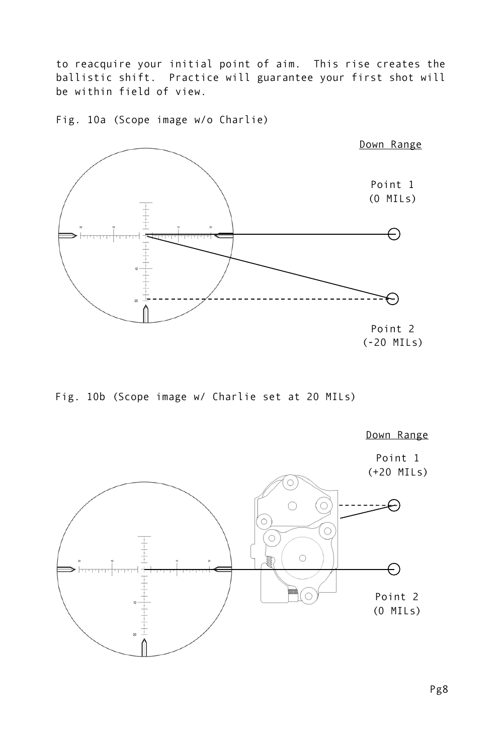to reacquire your initial point of aim. This rise creates the ballistic shift. Practice will guarantee your first shot will be within field of view.

Fig. 10a (Scope image w/o Charlie)



Fig. 10b (Scope image w/ Charlie set at 20 MILs)



Pg8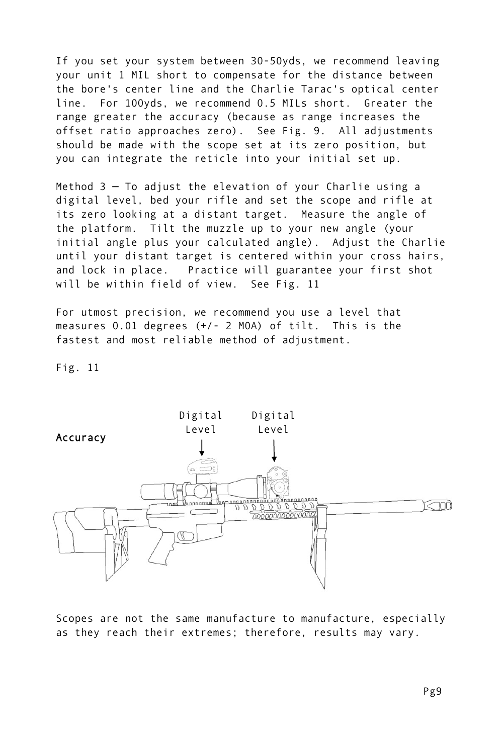If you set your system between 30-50yds, we recommend leaving your unit 1 MIL short to compensate for the distance between the bore's center line and the Charlie Tarac's optical center line. For 100yds, we recommend 0.5 MILs short. Greater the range greater the accuracy (because as range increases the offset ratio approaches zero). See Fig. 9. All adjustments should be made with the scope set at its zero position, but you can integrate the reticle into your initial set up.

Method 3 — To adjust the elevation of your Charlie using a digital level, bed your rifle and set the scope and rifle at its zero looking at a distant target. Measure the angle of the platform. Tilt the muzzle up to your new angle (your initial angle plus your calculated angle). Adjust the Charlie until your distant target is centered within your cross hairs, and lock in place. Practice will guarantee your first shot will be within field of view. See Fig. 11

For utmost precision, we recommend you use a level that measures 0.01 degrees (+/- 2 MOA) of tilt. This is the fastest and most reliable method of adjustment.

Fig. 11



Scopes are not the same manufacture to manufacture, especially as they reach their extremes; therefore, results may vary.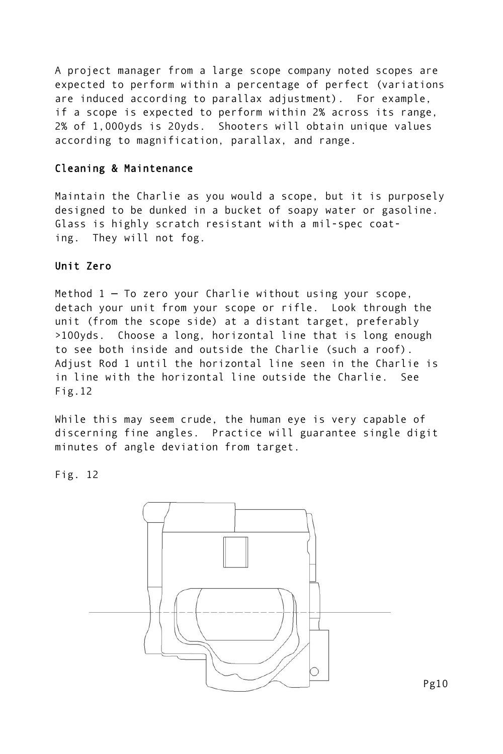A project manager from a large scope company noted scopes are expected to perform within a percentage of perfect (variations are induced according to parallax adjustment). For example, if a scope is expected to perform within 2% across its range, 2% of 1,000yds is 20yds. Shooters will obtain unique values according to magnification, parallax, and range.

#### Cleaning & Maintenance

Maintain the Charlie as you would a scope, but it is purposely designed to be dunked in a bucket of soapy water or gasoline. Glass is highly scratch resistant with a mil-spec coating. They will not fog.

### Unit Zero

Method  $1 - To$  zero your Charlie without using your scope, detach your unit from your scope or rifle. Look through the unit (from the scope side) at a distant target, preferably >100yds. Choose a long, horizontal line that is long enough to see both inside and outside the Charlie (such a roof). Adjust Rod 1 until the horizontal line seen in the Charlie is in line with the horizontal line outside the Charlie. See Fig.12

While this may seem crude, the human eye is very capable of discerning fine angles. Practice will guarantee single digit minutes of angle deviation from target.

Fig. 12